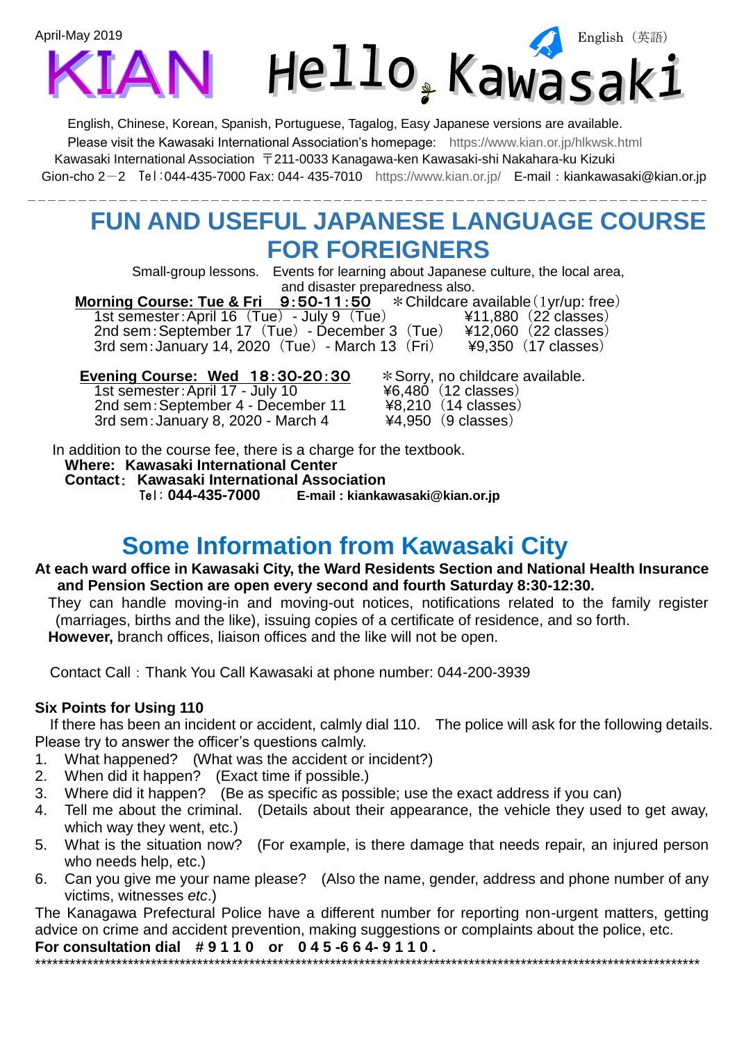

English, Chinese, Korean, Spanish, Portuguese, Tagalog, Easy Japanese versions are available. Please visit the Kawasaki International Association's homepage: <https://www.kian.or.jp/hlkwsk.html> Kawasaki International Association 〒211-0033 Kanagawa-ken Kawasaki-shi Nakahara-ku Kizuki Gion-cho 2-2 Tel:044-435-7000 Fax: 044- 435-7010 <https://www.kian.or.jp/>E-mail:kiankawasaki@kian.or.jp

## **FUN AND USEFUL JAPANESE LANGUAGE COURSE FOR FOREIGNERS**

Small-group lessons. Events for learning about Japanese culture, the local area, and disaster preparedness also.

 **Morning Course: Tue & Fri** 9:50**-**11:50 \*Childcare available(1yr/up: free) 1st semester:April 16 (Tue) - July 9 (Tue) ¥11,880 (22 classes)<br>2nd sem:September 17 (Tue) - December 3 (Tue) ¥12,060 (22 classes) 2nd sem: September 17 (Tue) - December 3 (Tue) ¥12,060 (22 classes)<br>3rd sem: January 14, 2020 (Tue) - March 13 (Fri) ¥9,350 (17 classes) 3rd sem: January 14, 2020  $(Tue)$  - March 13  $(Fri)$ 

1st semester: April 17 - July 10  $\qquad \qquad$   $\qquad \qquad$   $\qquad$   $\qquad \qquad$   $\qquad \qquad$   $\qquad \qquad$   $\qquad \qquad$   $\qquad \qquad$   $\qquad \qquad$   $\qquad \qquad$   $\qquad \qquad$   $\qquad \qquad$   $\qquad \qquad$   $\qquad \qquad$   $\qquad \qquad$   $\qquad \qquad$   $\qquad \qquad$   $\qquad \qquad$   $\qquad \qquad$   $\qquad \qquad$   $\qquad \qquad$   $\q$ 2nd sem: September 4 - December 11 3rd sem:January 8, 2020 - March 4 ¥4,950 (9 classes)

**Evening Course: Wed 18:30-20:30**  $*$  Sorry, no childcare available.<br>1st semester: April 17 - July 10  $*$ 6.480 (12 classes)

In addition to the course fee, there is a charge for the textbook. **Where: Kawasaki International Center Contact**: **Kawasaki International Association** Tel: **044-435-7000 E-mail : kiankawasaki@kian.or.jp**

### **Some Information from Kawasaki City**

#### **At each ward office in Kawasaki City, the Ward Residents Section and National Health Insurance and Pension Section are open every second and fourth Saturday 8:30-12:30.**

They can handle moving-in and moving-out notices, notifications related to the family register (marriages, births and the like), issuing copies of a certificate of residence, and so forth. **However,** branch offices, liaison offices and the like will not be open.

Contact Call:Thank You Call Kawasaki at phone number: 044-200-3939

### **Six Points for Using 110**

If there has been an incident or accident, calmly dial 110. The police will ask for the following details. Please try to answer the officer's questions calmly.

- 1. What happened? (What was the accident or incident?)
- 2. When did it happen? (Exact time if possible.)
- 3. Where did it happen? (Be as specific as possible; use the exact address if you can)
- 4. Tell me about the criminal. (Details about their appearance, the vehicle they used to get away, which way they went, etc.)
- 5. What is the situation now? (For example, is there damage that needs repair, an injured person who needs help, etc.)
- 6. Can you give me your name please? (Also the name, gender, address and phone number of any victims, witnesses *etc*.)

The Kanagawa Prefectural Police have a different number for reporting non-urgent matters, getting advice on crime and accident prevention, making suggestions or complaints about the police, etc. **For consultation dial # 9 1 1 0 or 0 4 5 -6 6 4- 9 1 1 0 .**

\*\*\*\*\*\*\*\*\*\*\*\*\*\*\*\*\*\*\*\*\*\*\*\*\*\*\*\*\*\*\*\*\*\*\*\*\*\*\*\*\*\*\*\*\*\*\*\*\*\*\*\*\*\*\*\*\*\*\*\*\*\*\*\*\*\*\*\*\*\*\*\*\*\*\*\*\*\*\*\*\*\*\*\*\*\*\*\*\*\*\*\*\*\*\*\*\*\*\*\*\*\*\*\*\*\*\*\*\*\*\*\*\*\*\*